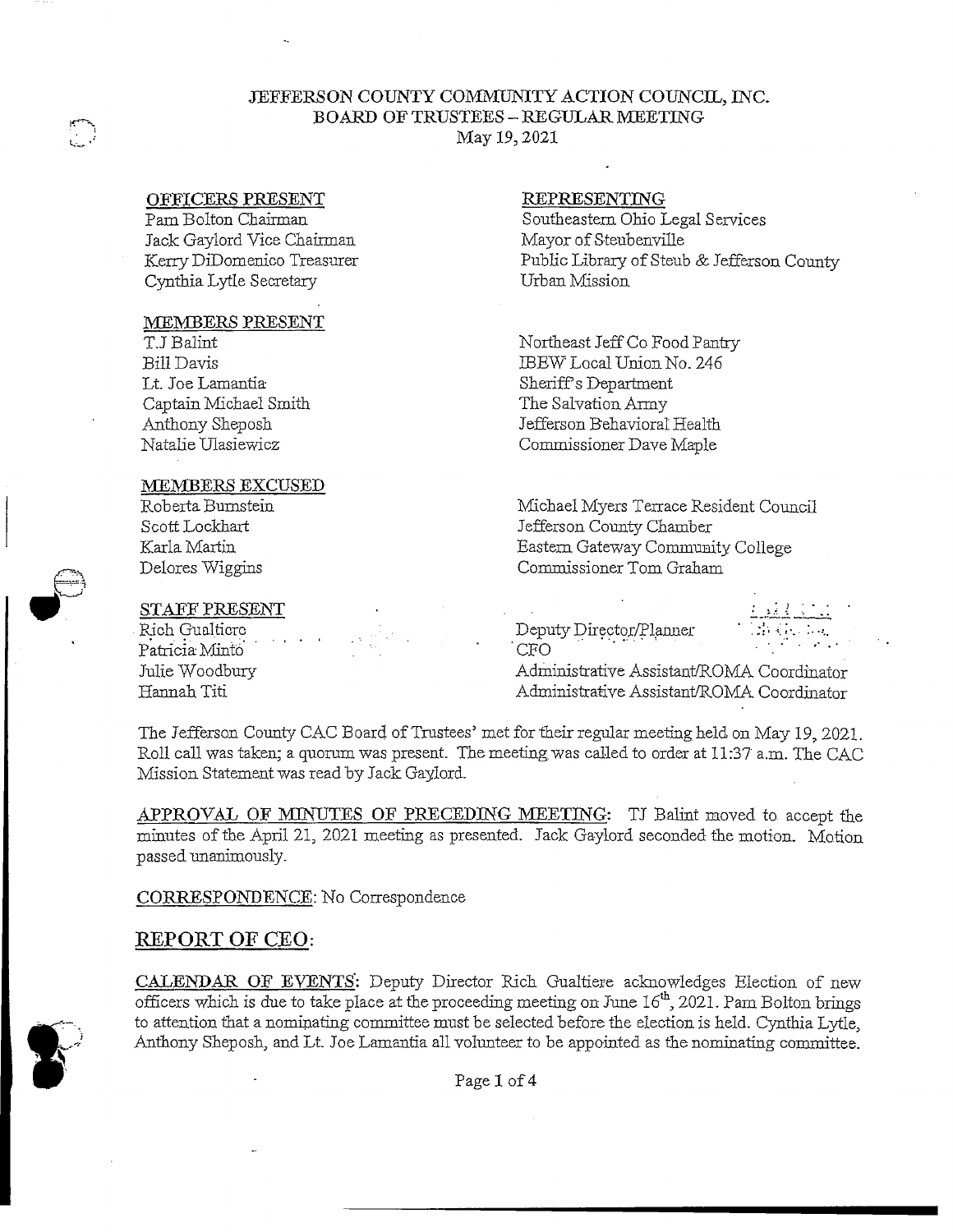## JEFFERSON COUNTY COMMUNITY ACTION COUNCIL, INC. BOARD OF TRUSTEES - REGULAR MEETING May *19,* 2021

### OFFICERS PRESENT

سمند المستعينة

Pam Bolton Chairman Jack Gaylord Vice Chairman Kerry DiDomenico Treasurer Cynthia Lytle Secretary

#### MEMBERS PRESENT

TJ Balint Bill Davis Lt. Joe Lamantia Captain Michael Smith Anthony Sheposh Natalie Ulasiewicz

#### MEMBERS EXCUSED

Roberta Burnstein Scott Lockhart Karla Martin Delores Wiggins

### STAFF PRESENT

Rich Gualticrc Patricia Minto Julie Woodbury Hannah Titi

### REPRESENTING

Southeastern Ohio Legal Services Mayor of Steubenville Public Library of Steub & Jefferson County Urban Mission

Northeast Jeff Co Food Pantry JBEW Lo.cal Union No. 246 Sheriff's Department The Salvation Army Jefferson Behavioral Health Commissioner Dave Maple

Michael Myers Terrace Resident Council Jefferson County Chamber Eastern Gateway Community College Commissioner Tom Graham

Deputy Director/Planner<br>CFO  $CRO$   $\qquad \qquad$   $\qquad \qquad$   $\qquad \qquad$   $\qquad \qquad$   $\qquad \qquad$   $\qquad \qquad$   $\qquad \qquad$   $\qquad \qquad$   $\qquad \qquad$   $\qquad \qquad$   $\qquad \qquad$   $\qquad \qquad$   $\qquad \qquad$   $\qquad \qquad$   $\qquad \qquad$   $\qquad \qquad$   $\qquad \qquad$   $\qquad \qquad$   $\qquad \qquad$   $\qquad \qquad$   $\qquad \qquad$   $\qquad \qquad$   $\qquad \qquad$   $\qquad \qquad$ 

Administrative Assistant/ROMA Coordinator Administrative Assistant/ROMA Coordinator

The Jefferson County CAC Board of Trustees' met for their regular meeting held on May 19, 2021. Roll call was taken; a quorum was present. The meeting was called to order at 11:37 a.m. The CAC Mission Statement was read by Jack Gaylord.

APPROVAL OF MINUTES OF PRECEDING MEETING: TJ Balint moved to accept the minutes of the April 21, 2021 meeting as presented. Jack Gaylord seconded the motion. Motion passed unanimously.

CORRESPONDENCE: No Correspondence

# **REPORT OF CEO:**

CALENDAR OF EVENTS': Deputy Director Rich Gualtiere acknowledges Election of new officers which is due to take place at the proceeding meeting on June 16th, 2021. Pam Bolton brings to attention that a nominating committee must be selected before the election is held. Cynthia Lytle., Anthony Sheposh, and Lt. Joe Lamantia all volunteer to be appointed as the nominating committee.



Page 1 of 4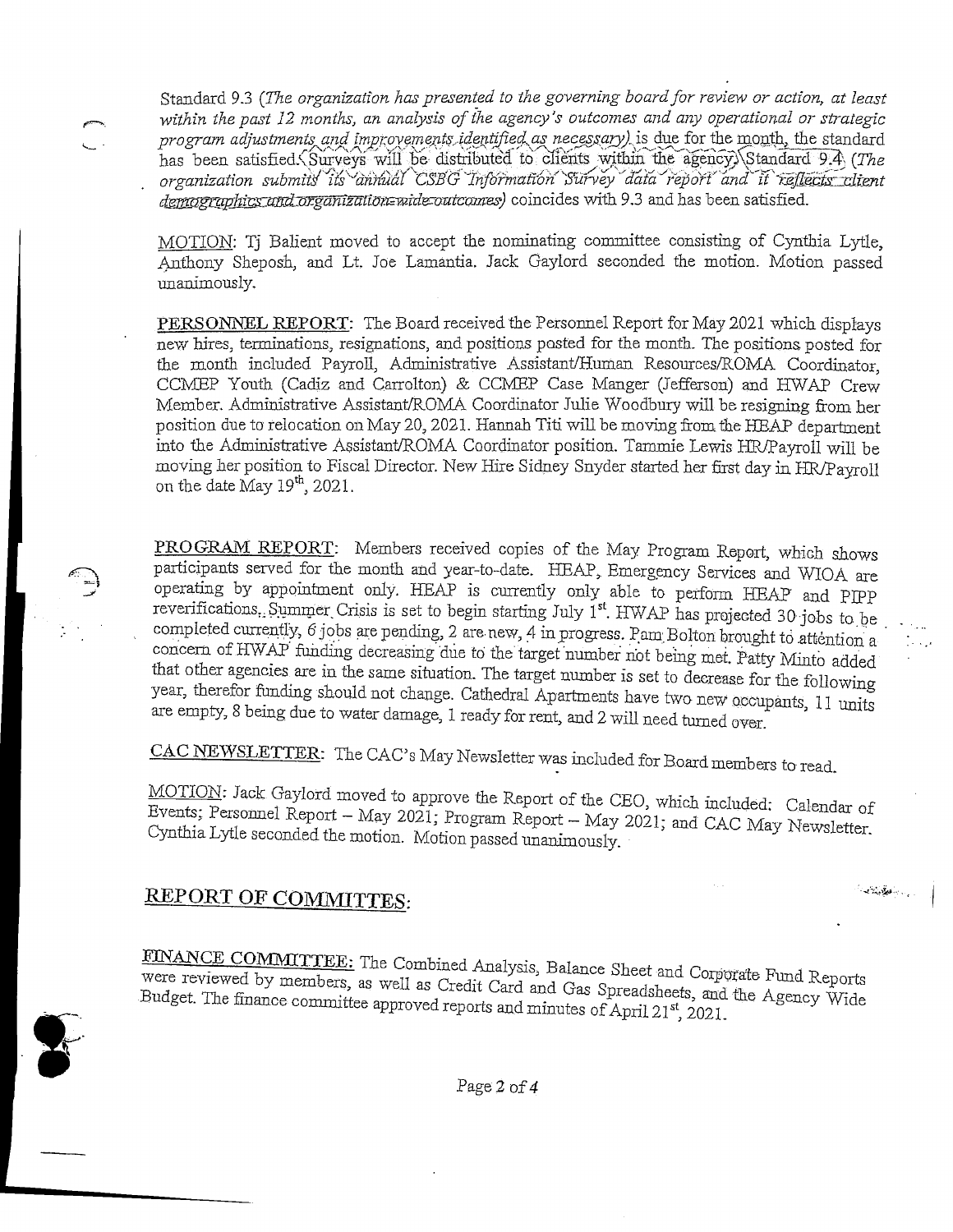Standard 9.3 (The organization has presented to the governing board for review or action, at least *within the past 12 months, an analysis of the agency's outcomes and any operational or strategic program adjustments and improvements identified as necessary)* is due for the month, the standard has been satisfied. Surveys will be distributed to clients within the agency) Standard 9.4 (The *organization submits\* ii's'Jan){ual CSB'(j 7nfb?ma£6n' purvey ^dafa^fepofi' and" it~'f^* demographics and organization wide outcomes) coincides with 9.3 and has been satisfied.

MOTION: Tj Balient moved to accept the nominating committee consisting of Cynthia Lytle, Anthony Sheposh, and Lt Joe Lamantia. Jack Gaylord seconded the motion. Motion passed unanimously.

PERSONNEL REPORT: The Board received the Personnel Report for May 2.021 which displays new hires, terminations, resignations, and positions posted for the month. The positions posted for the month included Payrol, Administrative Assistant/Human Resources/ROMA Coordinator, CCMEP Youth (Cadiz and Carrolton) & CCMEP Case Manger (Jefferson) and HWAP Crew Member. Administrative Assistant/ROMA Coordinator Julie Woodbury will be resigning from her position due to relocation on May 20, 2021. Hannah Titi will be moving from the HEAP department into the Administrative Assistant/ROMA Coordinator position. Tammie Lewis HR/Payroll will be moving her position to Fiscal Director. New Hire Sidney Snyder started her first day in HR/Payroll on the date May  $19^{th}$ , 2021.

PROGRAM REPORT: Members received copies of the May Program Report, which shows participants served for the month and year-to-date. HEAP, Emergency Services and WIOA are operating by appointment only. HEAP is currently only able to perform HEAP and PIPP reverifications. Summer Crisis is set to begin starting July 1<sup>st</sup>. HWAP has projected 30-jobs to be completed currently,  $6$  jobs are pending, 2 are new, 4 in progress. Pam Bolton brought to attention a concern of HWAP funding decreasing due to the target number not being met. Patty Minto added that other agencies are in the same situation. The target number is set to decrease for the following year, therefor funding should not change. Cathedral Apartments have two new occupants, 11 units are empty, 8 being due to water damage, 1 ready for rent, and 2 will need turned over '

CAC NEWSLETTER: The CAC's May Newsletter was included for Board members to read.

MOTION: Jack Gaylord moved to approve the Report of the CEO, which included: Calendar of Events: Personnel Report - May 2021; Program Report - May 2021; and CAC May Newsletter Cynthia Lytle seconded the motion. Motion passed unanimously

 $\label{eq:3.1} \mathcal{L}_{\text{in}}(\mathcal{L}_{\text{in}}(\mathcal{L}_{\text{out}}))$ 

# **REPORT OF COMMUTES:**

FINANCE COMMITTEE: The Combined Analysis, Balance Sheet and Corporate Fund Re<sup>vere</sup> reviewed by members, as well as Credit Card and Gas Spreadsheets, and the Agency<br><sup>3ud</sup>get. The finance committee approved reports and minu



Page 2 of *4*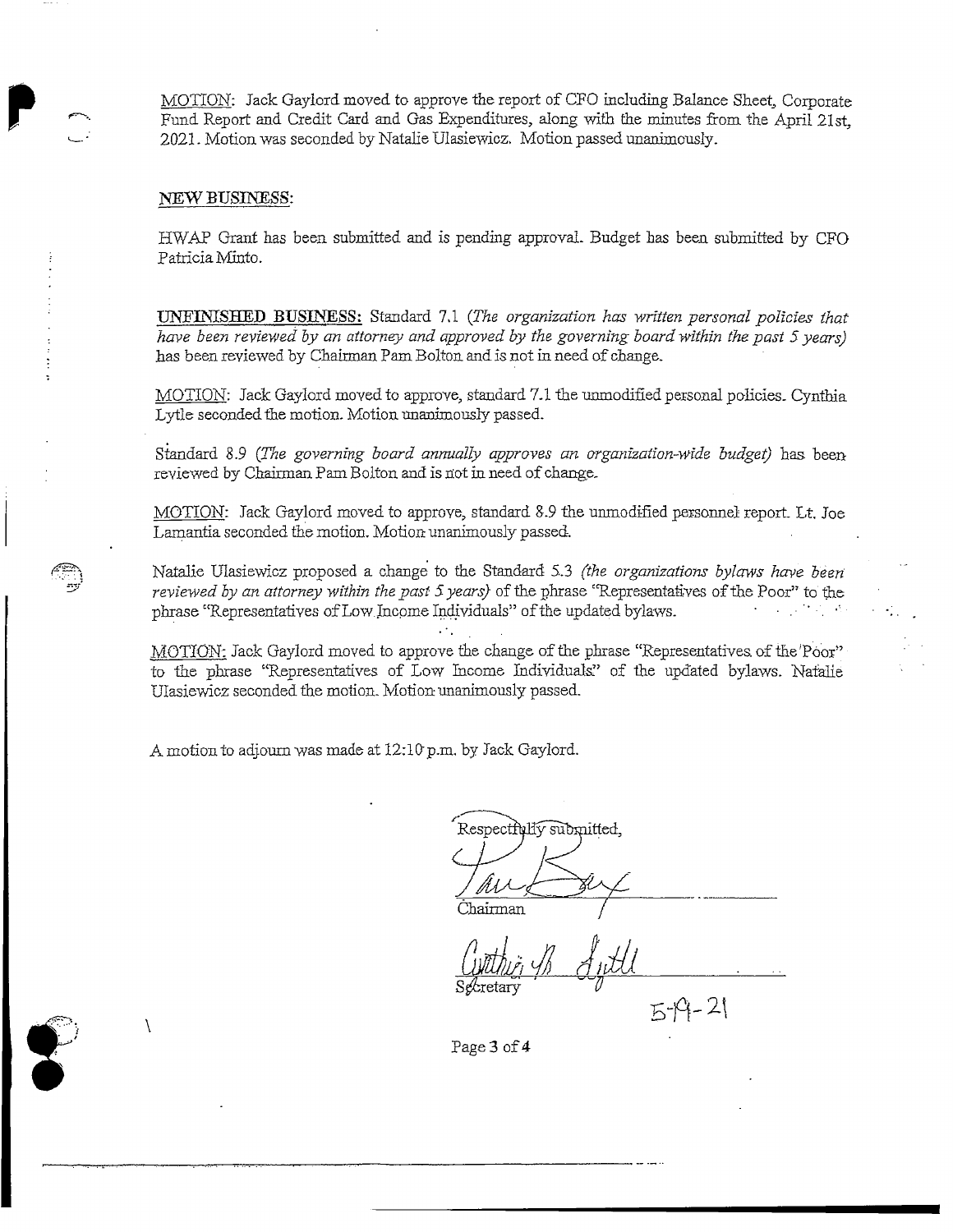MOTION: Jack Gaylord moved to approve the report of CFO including Balance Sheet, Corporate Fund Report and Credit Card and Gas Expenditures, along with the minutes from the April 21st. 2021. Motion was seconded by Natalie Ulasiewicz. Motion passed unanimously.

#### NEW BUSINESS:

J

HWAP Grant has been, submitted and is pending approval. Budget has been submitted by CFO Patricia Minto.

UNFINISHED BUSINESS: Standard 7,1 *(The organization has written personal policies that have been reviewed by an attorney and approved by the governing board within the past 5 years)* has been reviewed by Chairman Pam Bolton and is not in need of change.

MOTION: Jack Gaylord moved to approve, standard 7.1 the unmodified personal policies. Cynthia Lytle seconded the motion. Motion unanimously passed.

Standard 8.9 *(The governing board annually approves an organization-wide budget)* has beenreviewed by Chairman Pam Bolton and is not in need of change.

MOTION: Jack Gaylord moved to approve, standard &.9 the unmodified personnel report. Lt, Joe Lamantia seconded the motion. Motion- unanimously passed.

Natalie Ulasiewicz proposed a change to the Standard 5.3 *(the organizations bylaws have been reviewed by an attorney 'within the past \$ years)* of the phrase "Representatives of the Poor" to the phrase "Representatives of Low Income Individuals" of the updated bylaws.

MOTION: Jack Gaylord moved to approve the change of the phrase "Representatives, of the 'Poor" to the phrase "Representatives of Low Income Individuals." of the updated bylaws. Natalie Ulasiewicz seconded the motion. Motion- unanimously passed.

A motion to adjourn was made at 12:10 p.m. by Jack Gaylord.

Respectfully submitted, Chairman

Secretary *V*

 $5 - 9 - 21$ 

Page 3 of 4